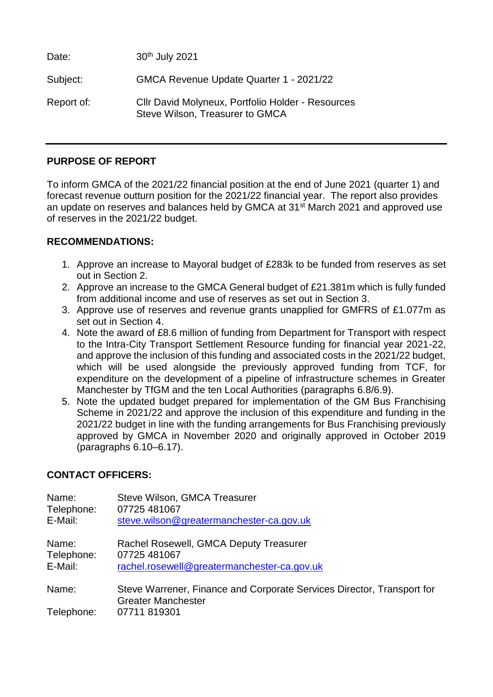Date: 30<sup>th</sup> July 2021 Subject: GMCA Revenue Update Quarter 1 - 2021/22 Report of: Cllr David Molyneux, Portfolio Holder - Resources Steve Wilson, Treasurer to GMCA

# **PURPOSE OF REPORT**

To inform GMCA of the 2021/22 financial position at the end of June 2021 (quarter 1) and forecast revenue outturn position for the 2021/22 financial year. The report also provides an update on reserves and balances held by GMCA at 31<sup>st</sup> March 2021 and approved use of reserves in the 2021/22 budget.

## **RECOMMENDATIONS:**

- 1. Approve an increase to Mayoral budget of £283k to be funded from reserves as set out in Section 2.
- 2. Approve an increase to the GMCA General budget of £21.381m which is fully funded from additional income and use of reserves as set out in Section 3.
- 3. Approve use of reserves and revenue grants unapplied for GMFRS of £1.077m as set out in Section 4.
- 4. Note the award of £8.6 million of funding from Department for Transport with respect to the Intra-City Transport Settlement Resource funding for financial year 2021-22, and approve the inclusion of this funding and associated costs in the 2021/22 budget, which will be used alongside the previously approved funding from TCF, for expenditure on the development of a pipeline of infrastructure schemes in Greater Manchester by TfGM and the ten Local Authorities (paragraphs 6.8/6.9).
- 5. Note the updated budget prepared for implementation of the GM Bus Franchising Scheme in 2021/22 and approve the inclusion of this expenditure and funding in the 2021/22 budget in line with the funding arrangements for Bus Franchising previously approved by GMCA in November 2020 and originally approved in October 2019 (paragraphs 6.10–6.17).

# **CONTACT OFFICERS:**

| Name:               | Steve Wilson, GMCA Treasurer                                                                                       |
|---------------------|--------------------------------------------------------------------------------------------------------------------|
| Telephone:          | 07725 481067                                                                                                       |
| E-Mail:             | steve.wilson@greatermanchester-ca.gov.uk                                                                           |
| Name:               | Rachel Rosewell, GMCA Deputy Treasurer                                                                             |
| Telephone:          | 07725 481067                                                                                                       |
| E-Mail:             | rachel.rosewell@greatermanchester-ca.gov.uk                                                                        |
| Name:<br>Telephone: | Steve Warrener, Finance and Corporate Services Director, Transport for<br><b>Greater Manchester</b><br>07711819301 |
|                     |                                                                                                                    |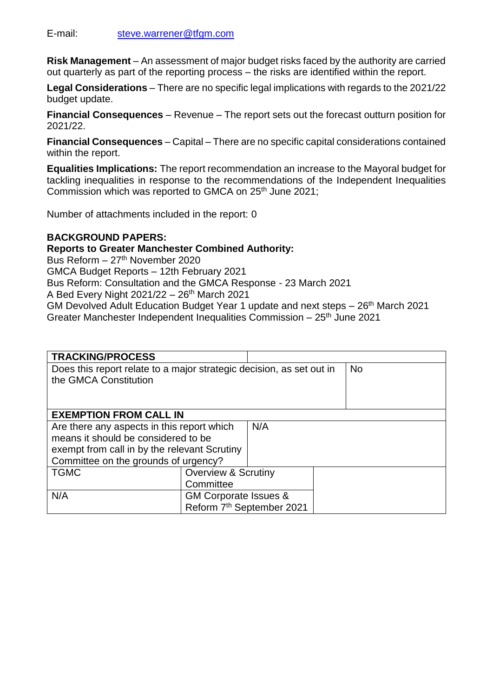**Risk Management** – An assessment of major budget risks faced by the authority are carried out quarterly as part of the reporting process – the risks are identified within the report.

**Legal Considerations** – There are no specific legal implications with regards to the 2021/22 budget update.

**Financial Consequences** – Revenue – The report sets out the forecast outturn position for 2021/22.

**Financial Consequences** – Capital – There are no specific capital considerations contained within the report.

**Equalities Implications:** The report recommendation an increase to the Mayoral budget for tackling inequalities in response to the recommendations of the Independent Inequalities Commission which was reported to GMCA on 25<sup>th</sup> June 2021;

Number of attachments included in the report: 0

## **BACKGROUND PAPERS:**

## **Reports to Greater Manchester Combined Authority:**

Bus Reform – 27<sup>th</sup> November 2020 GMCA Budget Reports – 12th February 2021 Bus Reform: Consultation and the GMCA Response - 23 March 2021 A Bed Every Night  $2021/22 - 26$ <sup>th</sup> March 2021 GM Devolved Adult Education Budget Year 1 update and next steps – 26th March 2021 Greater Manchester Independent Inequalities Commission  $-25<sup>th</sup>$  June 2021

| <b>TRACKING/PROCESS</b>                                              |                                  |     |           |
|----------------------------------------------------------------------|----------------------------------|-----|-----------|
| Does this report relate to a major strategic decision, as set out in |                                  |     | <b>No</b> |
| the GMCA Constitution                                                |                                  |     |           |
|                                                                      |                                  |     |           |
|                                                                      |                                  |     |           |
| <b>EXEMPTION FROM CALL IN</b>                                        |                                  |     |           |
| Are there any aspects in this report which                           |                                  | N/A |           |
| means it should be considered to be                                  |                                  |     |           |
| exempt from call in by the relevant Scrutiny                         |                                  |     |           |
| Committee on the grounds of urgency?                                 |                                  |     |           |
| <b>TGMC</b>                                                          | <b>Overview &amp; Scrutiny</b>   |     |           |
|                                                                      | Committee                        |     |           |
| N/A                                                                  | <b>GM Corporate Issues &amp;</b> |     |           |
|                                                                      | Reform 7th September 2021        |     |           |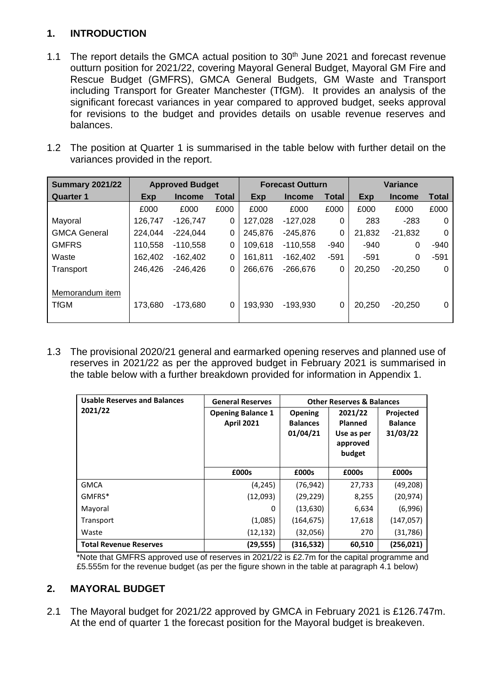# **1. INTRODUCTION**

- 1.1 The report details the GMCA actual position to  $30<sup>th</sup>$  June 2021 and forecast revenue outturn position for 2021/22, covering Mayoral General Budget, Mayoral GM Fire and Rescue Budget (GMFRS), GMCA General Budgets, GM Waste and Transport including Transport for Greater Manchester (TfGM). It provides an analysis of the significant forecast variances in year compared to approved budget, seeks approval for revisions to the budget and provides details on usable revenue reserves and balances.
- 1.2 The position at Quarter 1 is summarised in the table below with further detail on the variances provided in the report.

| <b>Summary 2021/22</b>         | <b>Approved Budget</b> |               |              | <b>Forecast Outturn</b> |               |              |        | Variance      |        |
|--------------------------------|------------------------|---------------|--------------|-------------------------|---------------|--------------|--------|---------------|--------|
| <b>Quarter 1</b>               | Exp                    | <b>Income</b> | <b>Total</b> | Exp                     | <b>Income</b> | <b>Total</b> | Exp    | <b>Income</b> | Total  |
|                                | £000                   | £000          | £000         | £000                    | £000          | £000         | £000   | £000          | £000   |
| Mayoral                        | 126,747                | $-126.747$    | 0            | 127,028                 | $-127,028$    | 0            | 283    | $-283$        | 0      |
| <b>GMCA General</b>            | 224,044                | $-224,044$    | 0            | 245,876                 | $-245,876$    | 0            | 21,832 | $-21,832$     | 0      |
| <b>GMFRS</b>                   | 110,558                | $-110,558$    | 0            | 109,618                 | $-110,558$    | $-940$       | $-940$ | 0             | $-940$ |
| Waste                          | 162,402                | $-162.402$    | 0            | 161,811                 | $-162,402$    | $-591$       | $-591$ | 0             | $-591$ |
| Transport                      | 246,426                | $-246,426$    | 0            | 266,676                 | $-266,676$    | 0            | 20,250 | $-20.250$     | 0      |
| Memorandum item<br><b>TfGM</b> | 173,680                | $-173,680$    | 0            | 193,930                 | $-193,930$    | 0            | 20,250 | $-20.250$     | 0      |

1.3 The provisional 2020/21 general and earmarked opening reserves and planned use of reserves in 2021/22 as per the approved budget in February 2021 is summarised in the table below with a further breakdown provided for information in Appendix 1.

| <b>Usable Reserves and Balances</b> | <b>General Reserves</b>  |                             | <b>Other Reserves &amp; Balances</b> |                            |
|-------------------------------------|--------------------------|-----------------------------|--------------------------------------|----------------------------|
| 2021/22                             | <b>Opening Balance 1</b> | <b>Opening</b>              | 2021/22                              | Projected                  |
|                                     | <b>April 2021</b>        | <b>Balances</b><br>01/04/21 | <b>Planned</b><br>Use as per         | <b>Balance</b><br>31/03/22 |
|                                     |                          |                             | approved                             |                            |
|                                     |                          |                             | budget                               |                            |
|                                     |                          |                             |                                      |                            |
|                                     | £000s                    | £000s                       | £000s                                | £000s                      |
| <b>GMCA</b>                         | (4, 245)                 | (76, 942)                   | 27,733                               | (49, 208)                  |
| GMFRS*                              | (12,093)                 | (29, 229)                   | 8,255                                | (20, 974)                  |
| Mayoral                             | 0                        | (13,630)                    | 6,634                                | (6,996)                    |
| Transport                           | (1,085)                  | (164, 675)                  | 17,618                               | (147, 057)                 |
| Waste                               | (12, 132)                | (32,056)                    | 270                                  | (31, 786)                  |
| <b>Total Revenue Reserves</b>       | (29, 555)                | (316, 532)                  | 60,510                               | (256, 021)                 |

\*Note that GMFRS approved use of reserves in 2021/22 is £2.7m for the capital programme and £5.555m for the revenue budget (as per the figure shown in the table at paragraph 4.1 below)

# **2. MAYORAL BUDGET**

2.1 The Mayoral budget for 2021/22 approved by GMCA in February 2021 is £126.747m. At the end of quarter 1 the forecast position for the Mayoral budget is breakeven.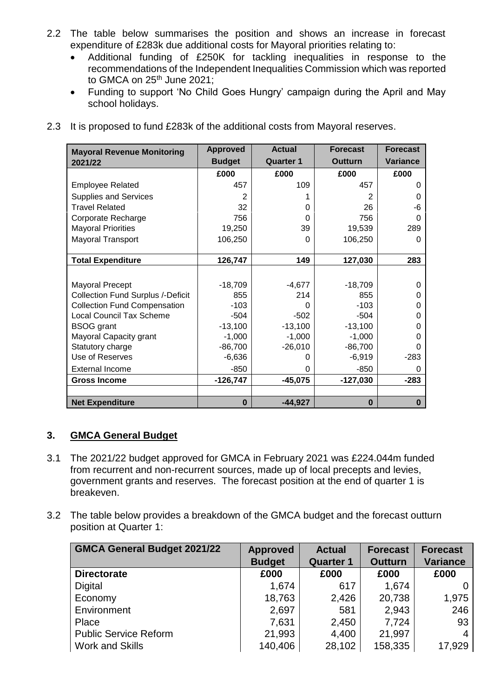- 2.2 The table below summarises the position and shows an increase in forecast expenditure of £283k due additional costs for Mayoral priorities relating to:
	- Additional funding of £250K for tackling inequalities in response to the recommendations of the Independent Inequalities Commission which was reported to GMCA on 25<sup>th</sup> June 2021;
	- Funding to support 'No Child Goes Hungry' campaign during the April and May school holidays.

| <b>Mayoral Revenue Monitoring</b>        | <b>Approved</b> | <b>Actual</b>    | <b>Forecast</b> | <b>Forecast</b> |
|------------------------------------------|-----------------|------------------|-----------------|-----------------|
| 2021/22                                  | <b>Budget</b>   | <b>Quarter 1</b> | <b>Outturn</b>  | <b>Variance</b> |
|                                          | £000            | £000             | £000            | £000            |
| <b>Employee Related</b>                  | 457             | 109              | 457             | 0               |
| <b>Supplies and Services</b>             | 2               |                  | 2               | 0               |
| <b>Travel Related</b>                    | 32              | 0                | 26              | -6              |
| Corporate Recharge                       | 756             | 0                | 756             | 0               |
| <b>Mayoral Priorities</b>                | 19,250          | 39               | 19,539          | 289             |
| Mayoral Transport                        | 106,250         | 0                | 106,250         | 0               |
|                                          |                 |                  |                 |                 |
| <b>Total Expenditure</b>                 | 126,747         | 149              | 127,030         | 283             |
|                                          |                 |                  |                 |                 |
| <b>Mayoral Precept</b>                   | $-18,709$       | $-4,677$         | $-18,709$       | 0               |
| <b>Collection Fund Surplus /-Deficit</b> | 855             | 214              | 855             | O               |
| <b>Collection Fund Compensation</b>      | $-103$          | 0                | $-103$          | O               |
| <b>Local Council Tax Scheme</b>          | $-504$          | $-502$           | $-504$          | 0               |
| <b>BSOG</b> grant                        | $-13,100$       | $-13,100$        | $-13,100$       | 0               |
| Mayoral Capacity grant                   | $-1,000$        | $-1,000$         | $-1,000$        | O               |
| Statutory charge                         | $-86,700$       | $-26,010$        | $-86,700$       | 0               |
| Use of Reserves                          | $-6,636$        | 0                | $-6,919$        | $-283$          |
| <b>External Income</b>                   | $-850$          | $\mathbf 0$      | $-850$          | 0               |
| <b>Gross Income</b>                      | $-126,747$      | $-45,075$        | $-127,030$      | $-283$          |
|                                          |                 |                  |                 |                 |
| <b>Net Expenditure</b>                   | $\bf{0}$        | $-44,927$        | $\bf{0}$        | $\bf{0}$        |

2.3 It is proposed to fund £283k of the additional costs from Mayoral reserves.

# **3. GMCA General Budget**

- 3.1 The 2021/22 budget approved for GMCA in February 2021 was £224.044m funded from recurrent and non-recurrent sources, made up of local precepts and levies, government grants and reserves. The forecast position at the end of quarter 1 is breakeven.
- 3.2 The table below provides a breakdown of the GMCA budget and the forecast outturn position at Quarter 1:

| <b>GMCA General Budget 2021/22</b> | <b>Approved</b> | <b>Actual</b>    | <b>Forecast</b> | <b>Forecast</b> |
|------------------------------------|-----------------|------------------|-----------------|-----------------|
|                                    | <b>Budget</b>   | <b>Quarter 1</b> | <b>Outturn</b>  | <b>Variance</b> |
| <b>Directorate</b>                 | £000            | £000             | £000            | £000            |
| <b>Digital</b>                     | 1,674           | 617              | 1,674           |                 |
| Economy                            | 18,763          | 2,426            | 20,738          | 1,975           |
| Environment                        | 2,697           | 581              | 2,943           | 246             |
| Place                              | 7,631           | 2,450            | 7,724           | 93              |
| <b>Public Service Reform</b>       | 21,993          | 4,400            | 21,997          |                 |
| <b>Work and Skills</b>             | 140,406         | 28,102           | 158,335         | 17,929          |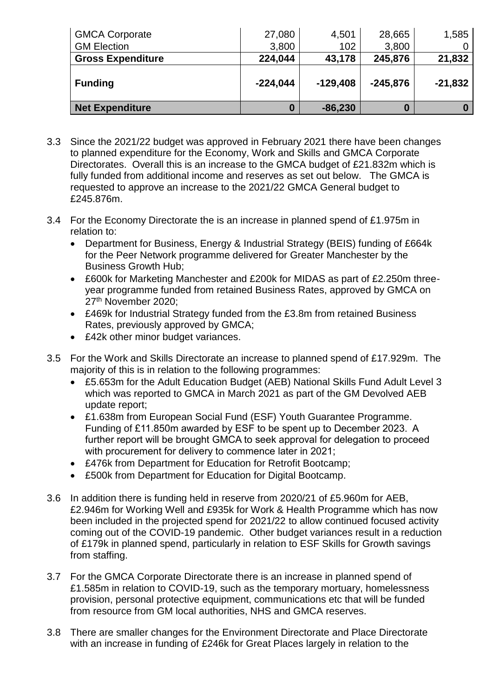| <b>GMCA Corporate</b>    | 27,080     | 4,501      | 28,665     | 1,585     |
|--------------------------|------------|------------|------------|-----------|
| <b>GM Election</b>       | 3,800      | 102        | 3,800      |           |
| <b>Gross Expenditure</b> | 224,044    | 43,178     | 245,876    | 21,832    |
| <b>Funding</b>           | $-224,044$ | $-129,408$ | $-245,876$ | $-21,832$ |
| <b>Net Expenditure</b>   |            | $-86,230$  |            |           |

- 3.3 Since the 2021/22 budget was approved in February 2021 there have been changes to planned expenditure for the Economy, Work and Skills and GMCA Corporate Directorates. Overall this is an increase to the GMCA budget of £21.832m which is fully funded from additional income and reserves as set out below. The GMCA is requested to approve an increase to the 2021/22 GMCA General budget to £245.876m.
- 3.4 For the Economy Directorate the is an increase in planned spend of £1.975m in relation to:
	- Department for Business, Energy & Industrial Strategy (BEIS) funding of £664k for the Peer Network programme delivered for Greater Manchester by the Business Growth Hub;
	- £600k for Marketing Manchester and £200k for MIDAS as part of £2.250m threeyear programme funded from retained Business Rates, approved by GMCA on 27<sup>th</sup> November 2020:
	- £469k for Industrial Strategy funded from the £3.8m from retained Business Rates, previously approved by GMCA;
	- £42k other minor budget variances.
- 3.5 For the Work and Skills Directorate an increase to planned spend of £17.929m. The majority of this is in relation to the following programmes:
	- £5.653m for the Adult Education Budget (AEB) National Skills Fund Adult Level 3 which was reported to GMCA in March 2021 as part of the GM Devolved AEB update report;
	- £1.638m from European Social Fund (ESF) Youth Guarantee Programme. Funding of £11.850m awarded by ESF to be spent up to December 2023. A further report will be brought GMCA to seek approval for delegation to proceed with procurement for delivery to commence later in 2021;
	- £476k from Department for Education for Retrofit Bootcamp;
	- £500k from Department for Education for Digital Bootcamp.
- 3.6 In addition there is funding held in reserve from 2020/21 of £5.960m for AEB, £2.946m for Working Well and £935k for Work & Health Programme which has now been included in the projected spend for 2021/22 to allow continued focused activity coming out of the COVID-19 pandemic. Other budget variances result in a reduction of £179k in planned spend, particularly in relation to ESF Skills for Growth savings from staffing.
- 3.7 For the GMCA Corporate Directorate there is an increase in planned spend of £1.585m in relation to COVID-19, such as the temporary mortuary, homelessness provision, personal protective equipment, communications etc that will be funded from resource from GM local authorities, NHS and GMCA reserves.
- 3.8 There are smaller changes for the Environment Directorate and Place Directorate with an increase in funding of £246k for Great Places largely in relation to the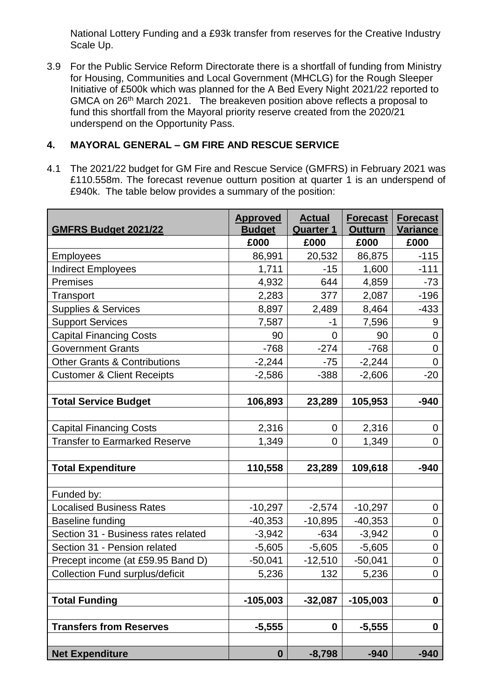National Lottery Funding and a £93k transfer from reserves for the Creative Industry Scale Up.

3.9 For the Public Service Reform Directorate there is a shortfall of funding from Ministry for Housing, Communities and Local Government (MHCLG) for the Rough Sleeper Initiative of £500k which was planned for the A Bed Every Night 2021/22 reported to GMCA on 26<sup>th</sup> March 2021. The breakeven position above reflects a proposal to fund this shortfall from the Mayoral priority reserve created from the 2020/21 underspend on the Opportunity Pass.

# **4. MAYORAL GENERAL – GM FIRE AND RESCUE SERVICE**

4.1 The 2021/22 budget for GM Fire and Rescue Service (GMFRS) in February 2021 was £110.558m. The forecast revenue outturn position at quarter 1 is an underspend of £940k. The table below provides a summary of the position:

| <b>GMFRS Budget 2021/22</b>             | <b>Approved</b><br><b>Budget</b> | <b>Actual</b><br><b>Quarter 1</b> | <b>Forecast</b><br><b>Outturn</b> | <b>Forecast</b><br><b>Variance</b> |
|-----------------------------------------|----------------------------------|-----------------------------------|-----------------------------------|------------------------------------|
|                                         | £000                             | £000                              | £000                              | £000                               |
| <b>Employees</b>                        | 86,991                           | 20,532                            | 86,875                            | $-115$                             |
| <b>Indirect Employees</b>               | 1,711                            | $-15$                             | 1,600                             | $-111$                             |
| Premises                                | 4,932                            | 644                               | 4,859                             | $-73$                              |
| Transport                               | 2,283                            | 377                               | 2,087                             | $-196$                             |
| Supplies & Services                     | 8,897                            | 2,489                             | 8,464                             | $-433$                             |
| <b>Support Services</b>                 | 7,587                            | $-1$                              | 7,596                             | 9                                  |
| <b>Capital Financing Costs</b>          | 90                               | 0                                 | 90                                | $\mathbf 0$                        |
| <b>Government Grants</b>                | $-768$                           | $-274$                            | $-768$                            | $\mathbf 0$                        |
| <b>Other Grants &amp; Contributions</b> | $-2,244$                         | $-75$                             | $-2,244$                          | 0                                  |
| <b>Customer &amp; Client Receipts</b>   | $-2,586$                         | $-388$                            | $-2,606$                          | $-20$                              |
|                                         |                                  |                                   |                                   |                                    |
| <b>Total Service Budget</b>             | 106,893                          | 23,289                            | 105,953                           | -940                               |
|                                         |                                  |                                   |                                   |                                    |
| <b>Capital Financing Costs</b>          | 2,316                            | $\mathbf 0$                       | 2,316                             | 0                                  |
| <b>Transfer to Earmarked Reserve</b>    | 1,349                            | 0                                 | 1,349                             | $\overline{0}$                     |
|                                         |                                  |                                   |                                   |                                    |
| <b>Total Expenditure</b>                | 110,558                          | 23,289                            | 109,618                           | $-940$                             |
|                                         |                                  |                                   |                                   |                                    |
| Funded by:                              |                                  |                                   |                                   |                                    |
| <b>Localised Business Rates</b>         | $-10,297$                        | $-2,574$                          | $-10,297$                         | 0                                  |
| Baseline funding                        | $-40,353$                        | $-10,895$                         | $-40,353$                         | 0                                  |
| Section 31 - Business rates related     | $-3,942$                         | $-634$                            | $-3,942$                          | $\mathbf 0$                        |
| Section 31 - Pension related            | $-5,605$                         | $-5,605$                          | $-5,605$                          | $\boldsymbol{0}$                   |
| Precept income (at £59.95 Band D)       | $-50,041$                        | $-12,510$                         | $-50,041$                         | $\boldsymbol{0}$                   |
| <b>Collection Fund surplus/deficit</b>  | 5,236                            | 132                               | 5,236                             | $\mathbf 0$                        |
| <b>Total Funding</b>                    | $-105,003$                       | $-32,087$                         | $-105,003$                        | $\boldsymbol{0}$                   |
|                                         |                                  |                                   |                                   |                                    |
| <b>Transfers from Reserves</b>          | $-5,555$                         | $\boldsymbol{0}$                  | $-5,555$                          | $\boldsymbol{0}$                   |
| <b>Net Expenditure</b>                  | $\boldsymbol{0}$                 | $-8,798$                          | $-940$                            | $-940$                             |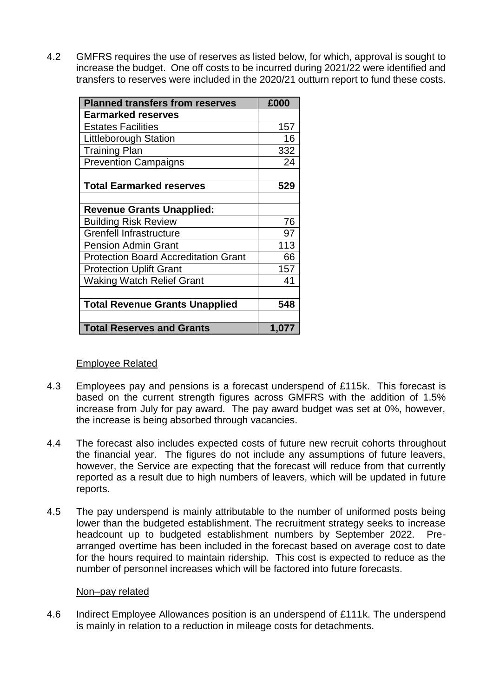4.2 GMFRS requires the use of reserves as listed below, for which, approval is sought to increase the budget. One off costs to be incurred during 2021/22 were identified and transfers to reserves were included in the 2020/21 outturn report to fund these costs.

| <b>Planned transfers from reserves</b>      | £000  |
|---------------------------------------------|-------|
| <b>Earmarked reserves</b>                   |       |
| <b>Estates Facilities</b>                   | 157   |
| <b>Littleborough Station</b>                | 16    |
| <b>Training Plan</b>                        | 332   |
| <b>Prevention Campaigns</b>                 | 24    |
|                                             |       |
| <b>Total Earmarked reserves</b>             | 529   |
|                                             |       |
| <b>Revenue Grants Unapplied:</b>            |       |
| <b>Building Risk Review</b>                 | 76    |
| <b>Grenfell Infrastructure</b>              | 97    |
| <b>Pension Admin Grant</b>                  | 113   |
| <b>Protection Board Accreditation Grant</b> | 66    |
| <b>Protection Uplift Grant</b>              | 157   |
| <b>Waking Watch Relief Grant</b>            | 41    |
|                                             |       |
| <b>Total Revenue Grants Unapplied</b>       | 548   |
|                                             |       |
| <b>Total Reserves and Grants</b>            | 1,077 |

#### Employee Related

- 4.3 Employees pay and pensions is a forecast underspend of £115k. This forecast is based on the current strength figures across GMFRS with the addition of 1.5% increase from July for pay award. The pay award budget was set at 0%, however, the increase is being absorbed through vacancies.
- 4.4 The forecast also includes expected costs of future new recruit cohorts throughout the financial year. The figures do not include any assumptions of future leavers, however, the Service are expecting that the forecast will reduce from that currently reported as a result due to high numbers of leavers, which will be updated in future reports.
- 4.5 The pay underspend is mainly attributable to the number of uniformed posts being lower than the budgeted establishment. The recruitment strategy seeks to increase headcount up to budgeted establishment numbers by September 2022. Prearranged overtime has been included in the forecast based on average cost to date for the hours required to maintain ridership. This cost is expected to reduce as the number of personnel increases which will be factored into future forecasts.

#### Non–pay related

4.6 Indirect Employee Allowances position is an underspend of £111k. The underspend is mainly in relation to a reduction in mileage costs for detachments.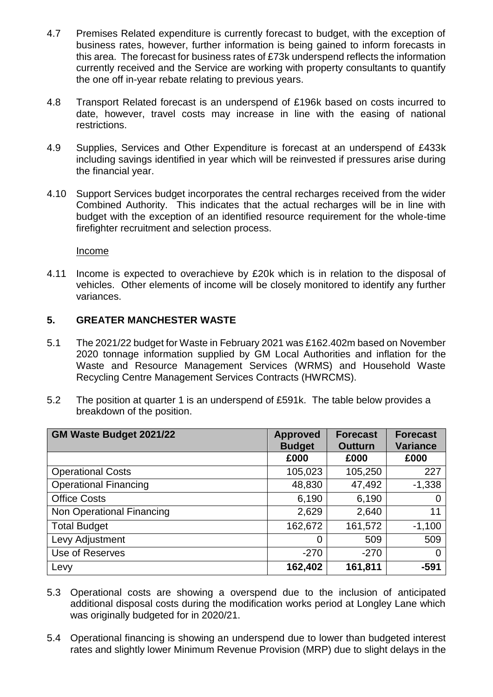- 4.7 Premises Related expenditure is currently forecast to budget, with the exception of business rates, however, further information is being gained to inform forecasts in this area. The forecast for business rates of £73k underspend reflects the information currently received and the Service are working with property consultants to quantify the one off in-year rebate relating to previous years.
- 4.8 Transport Related forecast is an underspend of £196k based on costs incurred to date, however, travel costs may increase in line with the easing of national restrictions.
- 4.9 Supplies, Services and Other Expenditure is forecast at an underspend of £433k including savings identified in year which will be reinvested if pressures arise during the financial year.
- 4.10 Support Services budget incorporates the central recharges received from the wider Combined Authority. This indicates that the actual recharges will be in line with budget with the exception of an identified resource requirement for the whole-time firefighter recruitment and selection process.

Income

4.11 Income is expected to overachieve by £20k which is in relation to the disposal of vehicles. Other elements of income will be closely monitored to identify any further variances.

## **5. GREATER MANCHESTER WASTE**

- 5.1 The 2021/22 budget for Waste in February 2021 was £162.402m based on November 2020 tonnage information supplied by GM Local Authorities and inflation for the Waste and Resource Management Services (WRMS) and Household Waste Recycling Centre Management Services Contracts (HWRCMS).
- 5.2 The position at quarter 1 is an underspend of £591k.The table below provides a breakdown of the position.

| GM Waste Budget 2021/22      | <b>Approved</b><br><b>Budget</b> | <b>Forecast</b><br><b>Outturn</b> | <b>Forecast</b><br><b>Variance</b> |
|------------------------------|----------------------------------|-----------------------------------|------------------------------------|
|                              | £000                             | £000                              | £000                               |
| <b>Operational Costs</b>     | 105,023                          | 105,250                           | 227                                |
| <b>Operational Financing</b> | 48,830                           | 47,492                            | $-1,338$                           |
| <b>Office Costs</b>          | 6,190                            | 6,190                             | 0                                  |
| Non Operational Financing    | 2,629                            | 2,640                             | 11                                 |
| <b>Total Budget</b>          | 162,672                          | 161,572                           | $-1,100$                           |
| Levy Adjustment              | 0                                | 509                               | 509                                |
| Use of Reserves              | $-270$                           | $-270$                            | 0                                  |
| Levy                         | 162,402                          | 161,811                           | $-591$                             |

- 5.3 Operational costs are showing a overspend due to the inclusion of anticipated additional disposal costs during the modification works period at Longley Lane which was originally budgeted for in 2020/21.
- 5.4 Operational financing is showing an underspend due to lower than budgeted interest rates and slightly lower Minimum Revenue Provision (MRP) due to slight delays in the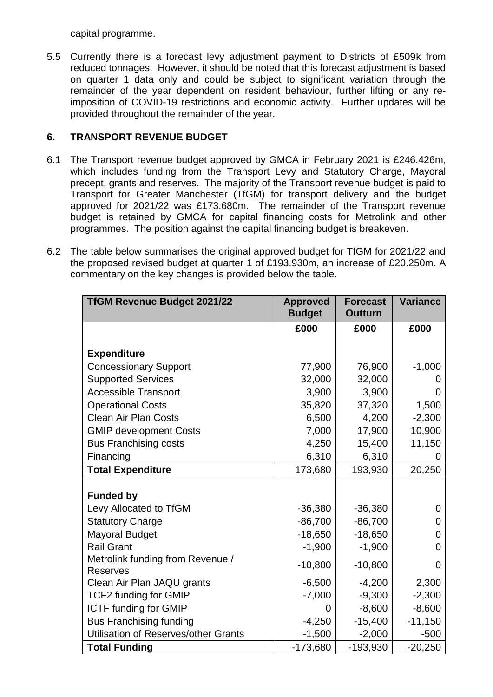capital programme.

5.5 Currently there is a forecast levy adjustment payment to Districts of £509k from reduced tonnages. However, it should be noted that this forecast adjustment is based on quarter 1 data only and could be subject to significant variation through the remainder of the year dependent on resident behaviour, further lifting or any reimposition of COVID-19 restrictions and economic activity. Further updates will be provided throughout the remainder of the year.

# **6. TRANSPORT REVENUE BUDGET**

- 6.1 The Transport revenue budget approved by GMCA in February 2021 is £246.426m, which includes funding from the Transport Levy and Statutory Charge, Mayoral precept, grants and reserves. The majority of the Transport revenue budget is paid to Transport for Greater Manchester (TfGM) for transport delivery and the budget approved for 2021/22 was £173.680m. The remainder of the Transport revenue budget is retained by GMCA for capital financing costs for Metrolink and other programmes. The position against the capital financing budget is breakeven.
- 6.2 The table below summarises the original approved budget for TfGM for 2021/22 and the proposed revised budget at quarter 1 of £193.930m, an increase of £20.250m. A commentary on the key changes is provided below the table.

| <b>TfGM Revenue Budget 2021/22</b>                  | <b>Approved</b><br><b>Budget</b> | <b>Forecast</b><br><b>Outturn</b> | <b>Variance</b> |
|-----------------------------------------------------|----------------------------------|-----------------------------------|-----------------|
|                                                     | £000                             | £000                              | £000            |
| <b>Expenditure</b>                                  |                                  |                                   |                 |
| <b>Concessionary Support</b>                        | 77,900                           | 76,900                            | $-1,000$        |
| <b>Supported Services</b>                           | 32,000                           | 32,000                            |                 |
| <b>Accessible Transport</b>                         | 3,900                            | 3,900                             | O               |
| <b>Operational Costs</b>                            | 35,820                           | 37,320                            | 1,500           |
| <b>Clean Air Plan Costs</b>                         | 6,500                            | 4,200                             | $-2,300$        |
| <b>GMIP development Costs</b>                       | 7,000                            | 17,900                            | 10,900          |
| <b>Bus Franchising costs</b>                        | 4,250                            | 15,400                            | 11,150          |
| Financing                                           | 6,310                            | 6,310                             |                 |
| <b>Total Expenditure</b>                            | 173,680                          | 193,930                           | 20,250          |
|                                                     |                                  |                                   |                 |
| <b>Funded by</b>                                    |                                  |                                   |                 |
| Levy Allocated to TfGM                              | $-36,380$                        | $-36,380$                         | 0               |
| <b>Statutory Charge</b>                             | $-86,700$                        | $-86,700$                         | O               |
| <b>Mayoral Budget</b>                               | $-18,650$                        | $-18,650$                         | 0               |
| <b>Rail Grant</b>                                   | $-1,900$                         | $-1,900$                          | 0               |
| Metrolink funding from Revenue /<br><b>Reserves</b> | $-10,800$                        | $-10,800$                         | 0               |
| Clean Air Plan JAQU grants                          | $-6,500$                         | $-4,200$                          | 2,300           |
| <b>TCF2 funding for GMIP</b>                        | $-7,000$                         | $-9,300$                          | $-2,300$        |
| <b>ICTF funding for GMIP</b>                        | 0                                | $-8,600$                          | $-8,600$        |
| <b>Bus Franchising funding</b>                      | $-4,250$                         | $-15,400$                         | $-11,150$       |
| Utilisation of Reserves/other Grants                | $-1,500$                         | $-2,000$                          | $-500$          |
| <b>Total Funding</b>                                | $-173,680$                       | $-193,930$                        | $-20,250$       |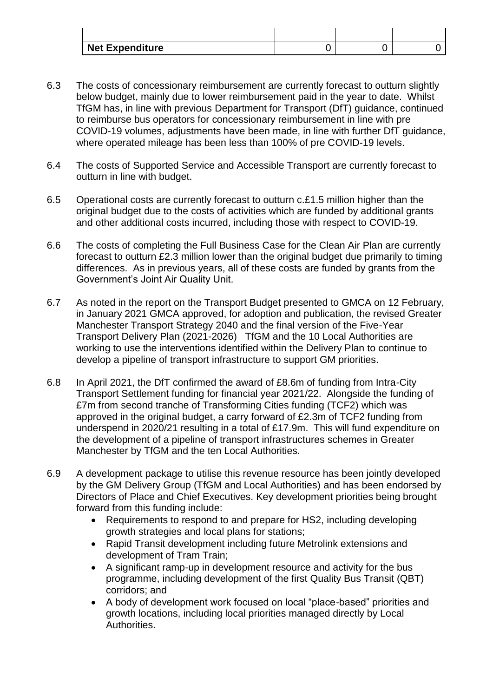| <b>Net Expenditure</b> |  |  |
|------------------------|--|--|

- 6.3 The costs of concessionary reimbursement are currently forecast to outturn slightly below budget, mainly due to lower reimbursement paid in the year to date. Whilst TfGM has, in line with previous Department for Transport (DfT) guidance, continued to reimburse bus operators for concessionary reimbursement in line with pre COVID-19 volumes, adjustments have been made, in line with further DfT guidance, where operated mileage has been less than 100% of pre COVID-19 levels.
- 6.4 The costs of Supported Service and Accessible Transport are currently forecast to outturn in line with budget.
- 6.5 Operational costs are currently forecast to outturn c.£1.5 million higher than the original budget due to the costs of activities which are funded by additional grants and other additional costs incurred, including those with respect to COVID-19.
- 6.6 The costs of completing the Full Business Case for the Clean Air Plan are currently forecast to outturn £2.3 million lower than the original budget due primarily to timing differences. As in previous years, all of these costs are funded by grants from the Government's Joint Air Quality Unit.
- 6.7 As noted in the report on the Transport Budget presented to GMCA on 12 February, in January 2021 GMCA approved, for adoption and publication, the revised Greater Manchester Transport Strategy 2040 and the final version of the Five-Year Transport Delivery Plan (2021-2026) TfGM and the 10 Local Authorities are working to use the interventions identified within the Delivery Plan to continue to develop a pipeline of transport infrastructure to support GM priorities.
- 6.8 In April 2021, the DfT confirmed the award of £8.6m of funding from Intra-City Transport Settlement funding for financial year 2021/22. Alongside the funding of £7m from second tranche of Transforming Cities funding (TCF2) which was approved in the original budget, a carry forward of £2.3m of TCF2 funding from underspend in 2020/21 resulting in a total of £17.9m. This will fund expenditure on the development of a pipeline of transport infrastructures schemes in Greater Manchester by TfGM and the ten Local Authorities.
- 6.9 A development package to utilise this revenue resource has been jointly developed by the GM Delivery Group (TfGM and Local Authorities) and has been endorsed by Directors of Place and Chief Executives. Key development priorities being brought forward from this funding include:
	- Requirements to respond to and prepare for HS2, including developing growth strategies and local plans for stations;
	- Rapid Transit development including future Metrolink extensions and development of Tram Train;
	- A significant ramp-up in development resource and activity for the bus programme, including development of the first Quality Bus Transit (QBT) corridors; and
	- A body of development work focused on local "place-based" priorities and growth locations, including local priorities managed directly by Local Authorities.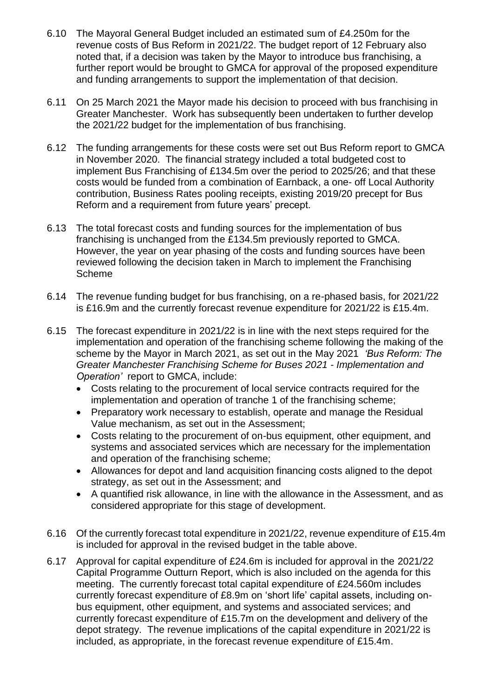- 6.10 The Mayoral General Budget included an estimated sum of £4.250m for the revenue costs of Bus Reform in 2021/22. The budget report of 12 February also noted that, if a decision was taken by the Mayor to introduce bus franchising, a further report would be brought to GMCA for approval of the proposed expenditure and funding arrangements to support the implementation of that decision.
- 6.11 On 25 March 2021 the Mayor made his decision to proceed with bus franchising in Greater Manchester. Work has subsequently been undertaken to further develop the 2021/22 budget for the implementation of bus franchising.
- 6.12 The funding arrangements for these costs were set out Bus Reform report to GMCA in November 2020. The financial strategy included a total budgeted cost to implement Bus Franchising of £134.5m over the period to 2025/26; and that these costs would be funded from a combination of Earnback, a one- off Local Authority contribution, Business Rates pooling receipts, existing 2019/20 precept for Bus Reform and a requirement from future years' precept.
- 6.13 The total forecast costs and funding sources for the implementation of bus franchising is unchanged from the £134.5m previously reported to GMCA. However, the year on year phasing of the costs and funding sources have been reviewed following the decision taken in March to implement the Franchising Scheme
- 6.14 The revenue funding budget for bus franchising, on a re-phased basis, for 2021/22 is £16.9m and the currently forecast revenue expenditure for 2021/22 is £15.4m.
- 6.15 The forecast expenditure in 2021/22 is in line with the next steps required for the implementation and operation of the franchising scheme following the making of the scheme by the Mayor in March 2021, as set out in the May 2021 *'Bus Reform: The Greater Manchester Franchising Scheme for Buses 2021 - Implementation and Operation'* report to GMCA, include:
	- Costs relating to the procurement of local service contracts required for the implementation and operation of tranche 1 of the franchising scheme;
	- Preparatory work necessary to establish, operate and manage the Residual Value mechanism, as set out in the Assessment;
	- Costs relating to the procurement of on-bus equipment, other equipment, and systems and associated services which are necessary for the implementation and operation of the franchising scheme;
	- Allowances for depot and land acquisition financing costs aligned to the depot strategy, as set out in the Assessment; and
	- A quantified risk allowance, in line with the allowance in the Assessment, and as considered appropriate for this stage of development.
- 6.16 Of the currently forecast total expenditure in 2021/22, revenue expenditure of £15.4m is included for approval in the revised budget in the table above.
- 6.17 Approval for capital expenditure of £24.6m is included for approval in the 2021/22 Capital Programme Outturn Report, which is also included on the agenda for this meeting. The currently forecast total capital expenditure of £24.560m includes currently forecast expenditure of £8.9m on 'short life' capital assets, including onbus equipment, other equipment, and systems and associated services; and currently forecast expenditure of £15.7m on the development and delivery of the depot strategy. The revenue implications of the capital expenditure in 2021/22 is included, as appropriate, in the forecast revenue expenditure of £15.4m.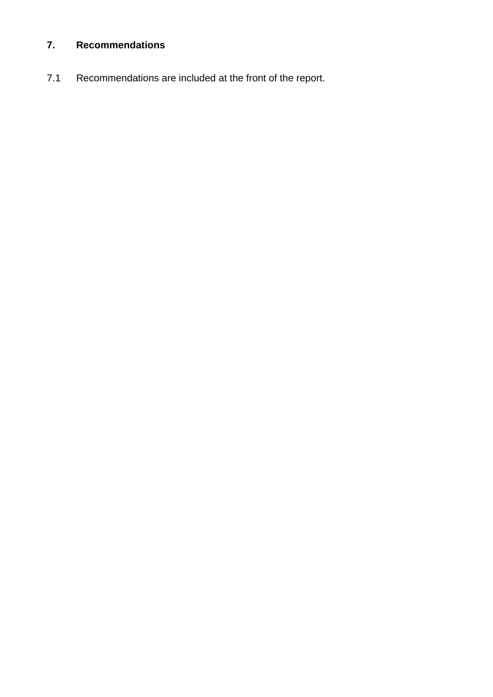# **7. Recommendations**

7.1 Recommendations are included at the front of the report.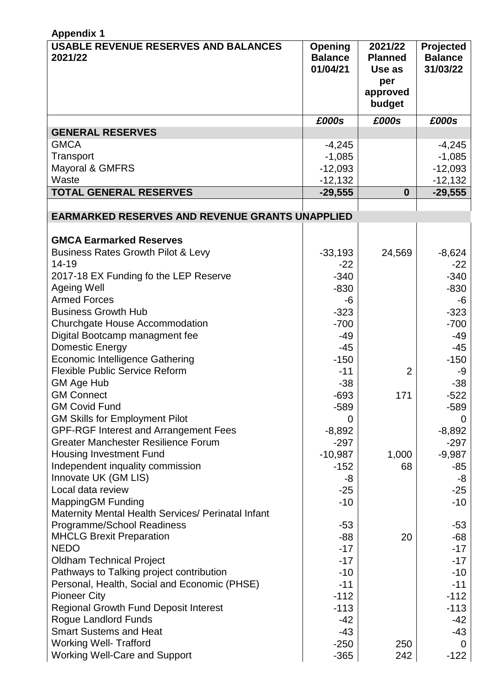| <b>Appendix 1</b>                                                                |                                       |                                                                  |                                         |  |
|----------------------------------------------------------------------------------|---------------------------------------|------------------------------------------------------------------|-----------------------------------------|--|
| <b>USABLE REVENUE RESERVES AND BALANCES</b><br>2021/22                           | Opening<br><b>Balance</b><br>01/04/21 | 2021/22<br><b>Planned</b><br>Use as<br>per<br>approved<br>budget | Projected<br><b>Balance</b><br>31/03/22 |  |
|                                                                                  | £000s                                 | £000s                                                            | £000s                                   |  |
| <b>GENERAL RESERVES</b>                                                          |                                       |                                                                  |                                         |  |
| <b>GMCA</b>                                                                      | $-4,245$                              |                                                                  | $-4,245$                                |  |
| Transport                                                                        | $-1,085$                              |                                                                  | $-1,085$                                |  |
| Mayoral & GMFRS                                                                  | $-12,093$                             |                                                                  | $-12,093$                               |  |
| Waste                                                                            | $-12,132$                             |                                                                  | $-12,132$                               |  |
| <b>TOTAL GENERAL RESERVES</b>                                                    | $-29,555$                             | $\bf{0}$                                                         | $-29,555$                               |  |
|                                                                                  |                                       |                                                                  |                                         |  |
| <b>EARMARKED RESERVES AND REVENUE GRANTS UNAPPLIED</b>                           |                                       |                                                                  |                                         |  |
|                                                                                  |                                       |                                                                  |                                         |  |
| <b>GMCA Earmarked Reserves</b>                                                   |                                       |                                                                  |                                         |  |
| <b>Business Rates Growth Pilot &amp; Levy</b><br>14-19                           | $-33,193$                             | 24,569                                                           | $-8,624$                                |  |
| 2017-18 EX Funding fo the LEP Reserve                                            | $-22$<br>$-340$                       |                                                                  | $-22$<br>$-340$                         |  |
| <b>Ageing Well</b>                                                               | $-830$                                |                                                                  | $-830$                                  |  |
| <b>Armed Forces</b>                                                              | -6                                    |                                                                  | -6                                      |  |
| <b>Business Growth Hub</b>                                                       | $-323$                                |                                                                  | $-323$                                  |  |
| Churchgate House Accommodation                                                   | $-700$                                |                                                                  | $-700$                                  |  |
| Digital Bootcamp managment fee                                                   | -49                                   |                                                                  | -49                                     |  |
| Domestic Energy                                                                  | $-45$                                 |                                                                  | -45                                     |  |
| <b>Economic Intelligence Gathering</b>                                           | $-150$                                |                                                                  | $-150$                                  |  |
| <b>Flexible Public Service Reform</b>                                            | $-11$                                 | $\overline{2}$                                                   | -9                                      |  |
| GM Age Hub                                                                       | $-38$                                 |                                                                  | $-38$                                   |  |
| <b>GM Connect</b>                                                                | $-693$                                | 171                                                              | $-522$                                  |  |
| <b>GM Covid Fund</b>                                                             | $-589$                                |                                                                  | $-589$                                  |  |
| <b>GM Skills for Employment Pilot</b>                                            | 0                                     |                                                                  | $\overline{0}$                          |  |
| <b>GPF-RGF Interest and Arrangement Fees</b>                                     | $-8,892$                              |                                                                  | $-8,892$                                |  |
| <b>Greater Manchester Resilience Forum</b>                                       | $-297$                                |                                                                  | $-297$                                  |  |
| <b>Housing Investment Fund</b>                                                   | $-10,987$                             | 1,000                                                            | $-9,987$                                |  |
| Independent inquality commission                                                 | $-152$                                | 68                                                               | -85                                     |  |
| Innovate UK (GM LIS)                                                             | -8                                    |                                                                  | -8                                      |  |
| Local data review                                                                | $-25$                                 |                                                                  | $-25$                                   |  |
| <b>MappingGM Funding</b>                                                         | $-10$                                 |                                                                  | $-10$                                   |  |
| Maternity Mental Health Services/ Perinatal Infant<br>Programme/School Readiness | $-53$                                 |                                                                  | -53                                     |  |
| <b>MHCLG Brexit Preparation</b>                                                  | $-88$                                 | 20                                                               | $-68$                                   |  |
| <b>NEDO</b>                                                                      | $-17$                                 |                                                                  | $-17$                                   |  |
| <b>Oldham Technical Project</b>                                                  | $-17$                                 |                                                                  | $-17$                                   |  |
| Pathways to Talking project contribution                                         | -10                                   |                                                                  | -10                                     |  |
| Personal, Health, Social and Economic (PHSE)                                     | $-11$                                 |                                                                  | $-11$                                   |  |
| <b>Pioneer City</b>                                                              | $-112$                                |                                                                  | $-112$                                  |  |
| <b>Regional Growth Fund Deposit Interest</b>                                     | $-113$                                |                                                                  | $-113$                                  |  |
| Rogue Landlord Funds                                                             | $-42$                                 |                                                                  | -42                                     |  |
| <b>Smart Sustems and Heat</b>                                                    | $-43$                                 |                                                                  | -43                                     |  |
| <b>Working Well- Trafford</b>                                                    | $-250$                                | 250                                                              | $\Omega$                                |  |
| <b>Working Well-Care and Support</b>                                             | $-365$                                | 242                                                              | $-122$                                  |  |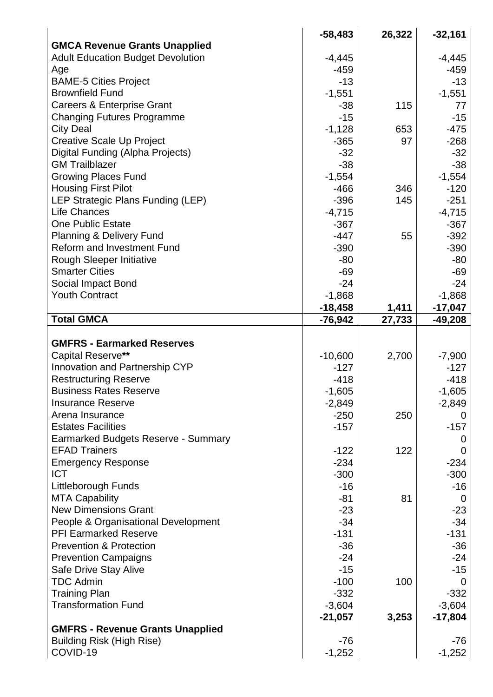|                                             | $-58,483$ | 26,322 | $-32,161$      |
|---------------------------------------------|-----------|--------|----------------|
| <b>GMCA Revenue Grants Unapplied</b>        |           |        |                |
| <b>Adult Education Budget Devolution</b>    | $-4,445$  |        | $-4,445$       |
| Age                                         | $-459$    |        | -459           |
| <b>BAME-5 Cities Project</b>                | $-13$     |        | $-13$          |
| <b>Brownfield Fund</b>                      | $-1,551$  |        | $-1,551$       |
| <b>Careers &amp; Enterprise Grant</b>       | -38       | 115    | 77             |
| <b>Changing Futures Programme</b>           | $-15$     |        | $-15$          |
| <b>City Deal</b>                            | $-1,128$  | 653    | $-475$         |
| <b>Creative Scale Up Project</b>            | $-365$    | 97     | $-268$         |
| Digital Funding (Alpha Projects)            | $-32$     |        | $-32$          |
| <b>GM Trailblazer</b>                       | $-38$     |        | $-38$          |
| <b>Growing Places Fund</b>                  | $-1,554$  |        | $-1,554$       |
| <b>Housing First Pilot</b>                  | $-466$    | 346    | $-120$         |
| LEP Strategic Plans Funding (LEP)           | $-396$    | 145    | $-251$         |
| <b>Life Chances</b>                         | $-4,715$  |        | $-4,715$       |
| <b>One Public Estate</b>                    | $-367$    |        | $-367$         |
| <b>Planning &amp; Delivery Fund</b>         | $-447$    | 55     | $-392$         |
| <b>Reform and Investment Fund</b>           | $-390$    |        | $-390$         |
| Rough Sleeper Initiative                    | $-80$     |        | $-80$          |
| <b>Smarter Cities</b>                       | $-69$     |        | $-69$          |
|                                             | $-24$     |        | $-24$          |
| Social Impact Bond<br><b>Youth Contract</b> |           |        |                |
|                                             | $-1,868$  |        | $-1,868$       |
|                                             | $-18,458$ | 1,411  | $-17,047$      |
| <b>Total GMCA</b>                           | $-76,942$ | 27,733 | -49,208        |
|                                             |           |        |                |
| <b>GMFRS - Earmarked Reserves</b>           |           |        |                |
| <b>Capital Reserve**</b>                    | $-10,600$ | 2,700  | $-7,900$       |
| Innovation and Partnership CYP              | $-127$    |        | $-127$         |
| <b>Restructuring Reserve</b>                | $-418$    |        | $-418$         |
| <b>Business Rates Reserve</b>               | $-1,605$  |        | $-1,605$       |
| <b>Insurance Reserve</b>                    | $-2,849$  |        | $-2,849$       |
| Arena Insurance                             | $-250$    | 250    | $\overline{0}$ |
| <b>Estates Facilities</b>                   | $-157$    |        | $-157$         |
| Earmarked Budgets Reserve - Summary         |           |        | Ü              |
| <b>EFAD Trainers</b>                        | $-122$    | 122    | $\overline{0}$ |
| <b>Emergency Response</b>                   | $-234$    |        | $-234$         |
| <b>ICT</b>                                  | $-300$    |        | $-300$         |
| Littleborough Funds                         | $-16$     |        | -16            |
| <b>MTA Capability</b>                       | $-81$     | 81     | 0              |
| <b>New Dimensions Grant</b>                 | $-23$     |        | $-23$          |
| People & Organisational Development         | $-34$     |        | $-34$          |
| <b>PFI Earmarked Reserve</b>                | $-131$    |        | $-131$         |
| <b>Prevention &amp; Protection</b>          | $-36$     |        | $-36$          |
| <b>Prevention Campaigns</b>                 | $-24$     |        | $-24$          |
| Safe Drive Stay Alive                       | $-15$     |        | $-15$          |
| <b>TDC Admin</b>                            | $-100$    | 100    | 0              |
| <b>Training Plan</b>                        | $-332$    |        | $-332$         |
| <b>Transformation Fund</b>                  | $-3,604$  |        | $-3,604$       |
|                                             | $-21,057$ | 3,253  | $-17,804$      |
| <b>GMFRS - Revenue Grants Unapplied</b>     |           |        |                |
|                                             |           |        |                |
| <b>Building Risk (High Rise)</b>            | -76       |        | -76            |
| COVID-19                                    | $-1,252$  |        | $-1,252$       |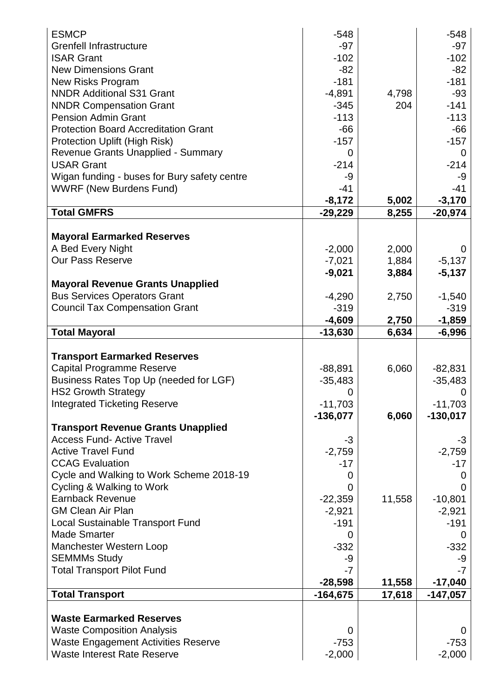| $-97$<br><b>Grenfell Infrastructure</b><br>$-97$<br>$-102$<br>$-102$<br><b>ISAR Grant</b><br><b>New Dimensions Grant</b><br>$-82$<br>$-82$<br>$-181$<br><b>New Risks Program</b><br>$-181$<br><b>NNDR Additional S31 Grant</b><br>$-4,891$<br>4,798<br>$-93$<br>$-141$<br>204<br><b>NNDR Compensation Grant</b><br>$-345$<br>$-113$<br>$-113$<br><b>Pension Admin Grant</b><br><b>Protection Board Accreditation Grant</b><br>$-66$<br>$-66$<br><b>Protection Uplift (High Risk)</b><br>$-157$<br>$-157$<br>Revenue Grants Unapplied - Summary<br>0<br>0<br><b>USAR Grant</b><br>$-214$<br>$-214$<br>Wigan funding - buses for Bury safety centre<br>-9<br>-9<br><b>WWRF (New Burdens Fund)</b><br>$-41$<br>$-41$<br>$-8,172$<br>5,002<br>$-3,170$<br><b>Total GMFRS</b><br>8,255<br>$-20,974$<br>-29,229<br><b>Mayoral Earmarked Reserves</b><br>A Bed Every Night<br>$-2,000$<br>2,000<br>$\Omega$<br><b>Our Pass Reserve</b><br>$-5,137$<br>$-7,021$<br>1,884<br>$-9,021$<br>$-5,137$<br>3,884<br><b>Mayoral Revenue Grants Unapplied</b><br><b>Bus Services Operators Grant</b><br>$-4,290$<br>2,750<br>$-1,540$<br><b>Council Tax Compensation Grant</b><br>$-319$<br>$-319$<br>$-4,609$<br>2,750<br>$-1,859$<br><b>Total Mayoral</b><br>$-13,630$<br>6,634<br>$-6,996$<br><b>Transport Earmarked Reserves</b><br>Capital Programme Reserve<br>6,060<br>$-88,891$<br>$-82,831$<br>Business Rates Top Up (needed for LGF)<br>$-35,483$<br>$-35,483$<br><b>HS2 Growth Strategy</b><br>0<br>0<br><b>Integrated Ticketing Reserve</b><br>$-11,703$<br>$-11,703$<br>6,060<br>$-136,077$<br>$-130,017$<br><b>Transport Revenue Grants Unapplied</b><br><b>Access Fund- Active Travel</b><br>$-3$<br>-3<br><b>Active Travel Fund</b><br>$-2,759$<br>$-2,759$<br><b>CCAG Evaluation</b><br>$-17$<br>$-17$<br>Cycle and Walking to Work Scheme 2018-19<br>$\Omega$<br>0<br>Cycling & Walking to Work<br>0<br>$\Omega$<br><b>Earnback Revenue</b><br>11,558<br>$-10,801$<br>$-22,359$<br><b>GM Clean Air Plan</b><br>$-2,921$<br>$-2,921$<br><b>Local Sustainable Transport Fund</b><br>$-191$<br>$-191$<br><b>Made Smarter</b><br>0<br>$\Omega$<br>Manchester Western Loop<br>$-332$<br>$-332$<br><b>SEMMMs Study</b><br>-9<br>-9<br><b>Total Transport Pilot Fund</b><br>$-7$<br>-7<br>$-28,598$<br>$-17,040$<br>11,558<br><b>Total Transport</b><br>$-164,675$<br>17,618<br>$-147,057$<br><b>Waste Earmarked Reserves</b><br><b>Waste Composition Analysis</b><br>0<br>0<br><b>Waste Engagement Activities Reserve</b><br>$-753$<br>$-753$ | <b>ESMCP</b>                       | $-548$   | $-548$   |
|------------------------------------------------------------------------------------------------------------------------------------------------------------------------------------------------------------------------------------------------------------------------------------------------------------------------------------------------------------------------------------------------------------------------------------------------------------------------------------------------------------------------------------------------------------------------------------------------------------------------------------------------------------------------------------------------------------------------------------------------------------------------------------------------------------------------------------------------------------------------------------------------------------------------------------------------------------------------------------------------------------------------------------------------------------------------------------------------------------------------------------------------------------------------------------------------------------------------------------------------------------------------------------------------------------------------------------------------------------------------------------------------------------------------------------------------------------------------------------------------------------------------------------------------------------------------------------------------------------------------------------------------------------------------------------------------------------------------------------------------------------------------------------------------------------------------------------------------------------------------------------------------------------------------------------------------------------------------------------------------------------------------------------------------------------------------------------------------------------------------------------------------------------------------------------------------------------------------------------------------------------------------------------------------------------------------------------------------------------------------------------------------------------------------------------------------------------------------------------------------------------------------------------------|------------------------------------|----------|----------|
|                                                                                                                                                                                                                                                                                                                                                                                                                                                                                                                                                                                                                                                                                                                                                                                                                                                                                                                                                                                                                                                                                                                                                                                                                                                                                                                                                                                                                                                                                                                                                                                                                                                                                                                                                                                                                                                                                                                                                                                                                                                                                                                                                                                                                                                                                                                                                                                                                                                                                                                                          |                                    |          |          |
|                                                                                                                                                                                                                                                                                                                                                                                                                                                                                                                                                                                                                                                                                                                                                                                                                                                                                                                                                                                                                                                                                                                                                                                                                                                                                                                                                                                                                                                                                                                                                                                                                                                                                                                                                                                                                                                                                                                                                                                                                                                                                                                                                                                                                                                                                                                                                                                                                                                                                                                                          |                                    |          |          |
|                                                                                                                                                                                                                                                                                                                                                                                                                                                                                                                                                                                                                                                                                                                                                                                                                                                                                                                                                                                                                                                                                                                                                                                                                                                                                                                                                                                                                                                                                                                                                                                                                                                                                                                                                                                                                                                                                                                                                                                                                                                                                                                                                                                                                                                                                                                                                                                                                                                                                                                                          |                                    |          |          |
|                                                                                                                                                                                                                                                                                                                                                                                                                                                                                                                                                                                                                                                                                                                                                                                                                                                                                                                                                                                                                                                                                                                                                                                                                                                                                                                                                                                                                                                                                                                                                                                                                                                                                                                                                                                                                                                                                                                                                                                                                                                                                                                                                                                                                                                                                                                                                                                                                                                                                                                                          |                                    |          |          |
|                                                                                                                                                                                                                                                                                                                                                                                                                                                                                                                                                                                                                                                                                                                                                                                                                                                                                                                                                                                                                                                                                                                                                                                                                                                                                                                                                                                                                                                                                                                                                                                                                                                                                                                                                                                                                                                                                                                                                                                                                                                                                                                                                                                                                                                                                                                                                                                                                                                                                                                                          |                                    |          |          |
|                                                                                                                                                                                                                                                                                                                                                                                                                                                                                                                                                                                                                                                                                                                                                                                                                                                                                                                                                                                                                                                                                                                                                                                                                                                                                                                                                                                                                                                                                                                                                                                                                                                                                                                                                                                                                                                                                                                                                                                                                                                                                                                                                                                                                                                                                                                                                                                                                                                                                                                                          |                                    |          |          |
|                                                                                                                                                                                                                                                                                                                                                                                                                                                                                                                                                                                                                                                                                                                                                                                                                                                                                                                                                                                                                                                                                                                                                                                                                                                                                                                                                                                                                                                                                                                                                                                                                                                                                                                                                                                                                                                                                                                                                                                                                                                                                                                                                                                                                                                                                                                                                                                                                                                                                                                                          |                                    |          |          |
|                                                                                                                                                                                                                                                                                                                                                                                                                                                                                                                                                                                                                                                                                                                                                                                                                                                                                                                                                                                                                                                                                                                                                                                                                                                                                                                                                                                                                                                                                                                                                                                                                                                                                                                                                                                                                                                                                                                                                                                                                                                                                                                                                                                                                                                                                                                                                                                                                                                                                                                                          |                                    |          |          |
|                                                                                                                                                                                                                                                                                                                                                                                                                                                                                                                                                                                                                                                                                                                                                                                                                                                                                                                                                                                                                                                                                                                                                                                                                                                                                                                                                                                                                                                                                                                                                                                                                                                                                                                                                                                                                                                                                                                                                                                                                                                                                                                                                                                                                                                                                                                                                                                                                                                                                                                                          |                                    |          |          |
|                                                                                                                                                                                                                                                                                                                                                                                                                                                                                                                                                                                                                                                                                                                                                                                                                                                                                                                                                                                                                                                                                                                                                                                                                                                                                                                                                                                                                                                                                                                                                                                                                                                                                                                                                                                                                                                                                                                                                                                                                                                                                                                                                                                                                                                                                                                                                                                                                                                                                                                                          |                                    |          |          |
|                                                                                                                                                                                                                                                                                                                                                                                                                                                                                                                                                                                                                                                                                                                                                                                                                                                                                                                                                                                                                                                                                                                                                                                                                                                                                                                                                                                                                                                                                                                                                                                                                                                                                                                                                                                                                                                                                                                                                                                                                                                                                                                                                                                                                                                                                                                                                                                                                                                                                                                                          |                                    |          |          |
|                                                                                                                                                                                                                                                                                                                                                                                                                                                                                                                                                                                                                                                                                                                                                                                                                                                                                                                                                                                                                                                                                                                                                                                                                                                                                                                                                                                                                                                                                                                                                                                                                                                                                                                                                                                                                                                                                                                                                                                                                                                                                                                                                                                                                                                                                                                                                                                                                                                                                                                                          |                                    |          |          |
|                                                                                                                                                                                                                                                                                                                                                                                                                                                                                                                                                                                                                                                                                                                                                                                                                                                                                                                                                                                                                                                                                                                                                                                                                                                                                                                                                                                                                                                                                                                                                                                                                                                                                                                                                                                                                                                                                                                                                                                                                                                                                                                                                                                                                                                                                                                                                                                                                                                                                                                                          |                                    |          |          |
|                                                                                                                                                                                                                                                                                                                                                                                                                                                                                                                                                                                                                                                                                                                                                                                                                                                                                                                                                                                                                                                                                                                                                                                                                                                                                                                                                                                                                                                                                                                                                                                                                                                                                                                                                                                                                                                                                                                                                                                                                                                                                                                                                                                                                                                                                                                                                                                                                                                                                                                                          |                                    |          |          |
|                                                                                                                                                                                                                                                                                                                                                                                                                                                                                                                                                                                                                                                                                                                                                                                                                                                                                                                                                                                                                                                                                                                                                                                                                                                                                                                                                                                                                                                                                                                                                                                                                                                                                                                                                                                                                                                                                                                                                                                                                                                                                                                                                                                                                                                                                                                                                                                                                                                                                                                                          |                                    |          |          |
|                                                                                                                                                                                                                                                                                                                                                                                                                                                                                                                                                                                                                                                                                                                                                                                                                                                                                                                                                                                                                                                                                                                                                                                                                                                                                                                                                                                                                                                                                                                                                                                                                                                                                                                                                                                                                                                                                                                                                                                                                                                                                                                                                                                                                                                                                                                                                                                                                                                                                                                                          |                                    |          |          |
|                                                                                                                                                                                                                                                                                                                                                                                                                                                                                                                                                                                                                                                                                                                                                                                                                                                                                                                                                                                                                                                                                                                                                                                                                                                                                                                                                                                                                                                                                                                                                                                                                                                                                                                                                                                                                                                                                                                                                                                                                                                                                                                                                                                                                                                                                                                                                                                                                                                                                                                                          |                                    |          |          |
|                                                                                                                                                                                                                                                                                                                                                                                                                                                                                                                                                                                                                                                                                                                                                                                                                                                                                                                                                                                                                                                                                                                                                                                                                                                                                                                                                                                                                                                                                                                                                                                                                                                                                                                                                                                                                                                                                                                                                                                                                                                                                                                                                                                                                                                                                                                                                                                                                                                                                                                                          |                                    |          |          |
|                                                                                                                                                                                                                                                                                                                                                                                                                                                                                                                                                                                                                                                                                                                                                                                                                                                                                                                                                                                                                                                                                                                                                                                                                                                                                                                                                                                                                                                                                                                                                                                                                                                                                                                                                                                                                                                                                                                                                                                                                                                                                                                                                                                                                                                                                                                                                                                                                                                                                                                                          |                                    |          |          |
|                                                                                                                                                                                                                                                                                                                                                                                                                                                                                                                                                                                                                                                                                                                                                                                                                                                                                                                                                                                                                                                                                                                                                                                                                                                                                                                                                                                                                                                                                                                                                                                                                                                                                                                                                                                                                                                                                                                                                                                                                                                                                                                                                                                                                                                                                                                                                                                                                                                                                                                                          |                                    |          |          |
|                                                                                                                                                                                                                                                                                                                                                                                                                                                                                                                                                                                                                                                                                                                                                                                                                                                                                                                                                                                                                                                                                                                                                                                                                                                                                                                                                                                                                                                                                                                                                                                                                                                                                                                                                                                                                                                                                                                                                                                                                                                                                                                                                                                                                                                                                                                                                                                                                                                                                                                                          |                                    |          |          |
|                                                                                                                                                                                                                                                                                                                                                                                                                                                                                                                                                                                                                                                                                                                                                                                                                                                                                                                                                                                                                                                                                                                                                                                                                                                                                                                                                                                                                                                                                                                                                                                                                                                                                                                                                                                                                                                                                                                                                                                                                                                                                                                                                                                                                                                                                                                                                                                                                                                                                                                                          |                                    |          |          |
|                                                                                                                                                                                                                                                                                                                                                                                                                                                                                                                                                                                                                                                                                                                                                                                                                                                                                                                                                                                                                                                                                                                                                                                                                                                                                                                                                                                                                                                                                                                                                                                                                                                                                                                                                                                                                                                                                                                                                                                                                                                                                                                                                                                                                                                                                                                                                                                                                                                                                                                                          |                                    |          |          |
|                                                                                                                                                                                                                                                                                                                                                                                                                                                                                                                                                                                                                                                                                                                                                                                                                                                                                                                                                                                                                                                                                                                                                                                                                                                                                                                                                                                                                                                                                                                                                                                                                                                                                                                                                                                                                                                                                                                                                                                                                                                                                                                                                                                                                                                                                                                                                                                                                                                                                                                                          |                                    |          |          |
|                                                                                                                                                                                                                                                                                                                                                                                                                                                                                                                                                                                                                                                                                                                                                                                                                                                                                                                                                                                                                                                                                                                                                                                                                                                                                                                                                                                                                                                                                                                                                                                                                                                                                                                                                                                                                                                                                                                                                                                                                                                                                                                                                                                                                                                                                                                                                                                                                                                                                                                                          |                                    |          |          |
|                                                                                                                                                                                                                                                                                                                                                                                                                                                                                                                                                                                                                                                                                                                                                                                                                                                                                                                                                                                                                                                                                                                                                                                                                                                                                                                                                                                                                                                                                                                                                                                                                                                                                                                                                                                                                                                                                                                                                                                                                                                                                                                                                                                                                                                                                                                                                                                                                                                                                                                                          |                                    |          |          |
|                                                                                                                                                                                                                                                                                                                                                                                                                                                                                                                                                                                                                                                                                                                                                                                                                                                                                                                                                                                                                                                                                                                                                                                                                                                                                                                                                                                                                                                                                                                                                                                                                                                                                                                                                                                                                                                                                                                                                                                                                                                                                                                                                                                                                                                                                                                                                                                                                                                                                                                                          |                                    |          |          |
|                                                                                                                                                                                                                                                                                                                                                                                                                                                                                                                                                                                                                                                                                                                                                                                                                                                                                                                                                                                                                                                                                                                                                                                                                                                                                                                                                                                                                                                                                                                                                                                                                                                                                                                                                                                                                                                                                                                                                                                                                                                                                                                                                                                                                                                                                                                                                                                                                                                                                                                                          |                                    |          |          |
|                                                                                                                                                                                                                                                                                                                                                                                                                                                                                                                                                                                                                                                                                                                                                                                                                                                                                                                                                                                                                                                                                                                                                                                                                                                                                                                                                                                                                                                                                                                                                                                                                                                                                                                                                                                                                                                                                                                                                                                                                                                                                                                                                                                                                                                                                                                                                                                                                                                                                                                                          |                                    |          |          |
|                                                                                                                                                                                                                                                                                                                                                                                                                                                                                                                                                                                                                                                                                                                                                                                                                                                                                                                                                                                                                                                                                                                                                                                                                                                                                                                                                                                                                                                                                                                                                                                                                                                                                                                                                                                                                                                                                                                                                                                                                                                                                                                                                                                                                                                                                                                                                                                                                                                                                                                                          |                                    |          |          |
|                                                                                                                                                                                                                                                                                                                                                                                                                                                                                                                                                                                                                                                                                                                                                                                                                                                                                                                                                                                                                                                                                                                                                                                                                                                                                                                                                                                                                                                                                                                                                                                                                                                                                                                                                                                                                                                                                                                                                                                                                                                                                                                                                                                                                                                                                                                                                                                                                                                                                                                                          |                                    |          |          |
|                                                                                                                                                                                                                                                                                                                                                                                                                                                                                                                                                                                                                                                                                                                                                                                                                                                                                                                                                                                                                                                                                                                                                                                                                                                                                                                                                                                                                                                                                                                                                                                                                                                                                                                                                                                                                                                                                                                                                                                                                                                                                                                                                                                                                                                                                                                                                                                                                                                                                                                                          |                                    |          |          |
|                                                                                                                                                                                                                                                                                                                                                                                                                                                                                                                                                                                                                                                                                                                                                                                                                                                                                                                                                                                                                                                                                                                                                                                                                                                                                                                                                                                                                                                                                                                                                                                                                                                                                                                                                                                                                                                                                                                                                                                                                                                                                                                                                                                                                                                                                                                                                                                                                                                                                                                                          |                                    |          |          |
|                                                                                                                                                                                                                                                                                                                                                                                                                                                                                                                                                                                                                                                                                                                                                                                                                                                                                                                                                                                                                                                                                                                                                                                                                                                                                                                                                                                                                                                                                                                                                                                                                                                                                                                                                                                                                                                                                                                                                                                                                                                                                                                                                                                                                                                                                                                                                                                                                                                                                                                                          |                                    |          |          |
|                                                                                                                                                                                                                                                                                                                                                                                                                                                                                                                                                                                                                                                                                                                                                                                                                                                                                                                                                                                                                                                                                                                                                                                                                                                                                                                                                                                                                                                                                                                                                                                                                                                                                                                                                                                                                                                                                                                                                                                                                                                                                                                                                                                                                                                                                                                                                                                                                                                                                                                                          |                                    |          |          |
|                                                                                                                                                                                                                                                                                                                                                                                                                                                                                                                                                                                                                                                                                                                                                                                                                                                                                                                                                                                                                                                                                                                                                                                                                                                                                                                                                                                                                                                                                                                                                                                                                                                                                                                                                                                                                                                                                                                                                                                                                                                                                                                                                                                                                                                                                                                                                                                                                                                                                                                                          |                                    |          |          |
|                                                                                                                                                                                                                                                                                                                                                                                                                                                                                                                                                                                                                                                                                                                                                                                                                                                                                                                                                                                                                                                                                                                                                                                                                                                                                                                                                                                                                                                                                                                                                                                                                                                                                                                                                                                                                                                                                                                                                                                                                                                                                                                                                                                                                                                                                                                                                                                                                                                                                                                                          |                                    |          |          |
|                                                                                                                                                                                                                                                                                                                                                                                                                                                                                                                                                                                                                                                                                                                                                                                                                                                                                                                                                                                                                                                                                                                                                                                                                                                                                                                                                                                                                                                                                                                                                                                                                                                                                                                                                                                                                                                                                                                                                                                                                                                                                                                                                                                                                                                                                                                                                                                                                                                                                                                                          |                                    |          |          |
|                                                                                                                                                                                                                                                                                                                                                                                                                                                                                                                                                                                                                                                                                                                                                                                                                                                                                                                                                                                                                                                                                                                                                                                                                                                                                                                                                                                                                                                                                                                                                                                                                                                                                                                                                                                                                                                                                                                                                                                                                                                                                                                                                                                                                                                                                                                                                                                                                                                                                                                                          |                                    |          |          |
|                                                                                                                                                                                                                                                                                                                                                                                                                                                                                                                                                                                                                                                                                                                                                                                                                                                                                                                                                                                                                                                                                                                                                                                                                                                                                                                                                                                                                                                                                                                                                                                                                                                                                                                                                                                                                                                                                                                                                                                                                                                                                                                                                                                                                                                                                                                                                                                                                                                                                                                                          |                                    |          |          |
|                                                                                                                                                                                                                                                                                                                                                                                                                                                                                                                                                                                                                                                                                                                                                                                                                                                                                                                                                                                                                                                                                                                                                                                                                                                                                                                                                                                                                                                                                                                                                                                                                                                                                                                                                                                                                                                                                                                                                                                                                                                                                                                                                                                                                                                                                                                                                                                                                                                                                                                                          |                                    |          |          |
|                                                                                                                                                                                                                                                                                                                                                                                                                                                                                                                                                                                                                                                                                                                                                                                                                                                                                                                                                                                                                                                                                                                                                                                                                                                                                                                                                                                                                                                                                                                                                                                                                                                                                                                                                                                                                                                                                                                                                                                                                                                                                                                                                                                                                                                                                                                                                                                                                                                                                                                                          |                                    |          |          |
|                                                                                                                                                                                                                                                                                                                                                                                                                                                                                                                                                                                                                                                                                                                                                                                                                                                                                                                                                                                                                                                                                                                                                                                                                                                                                                                                                                                                                                                                                                                                                                                                                                                                                                                                                                                                                                                                                                                                                                                                                                                                                                                                                                                                                                                                                                                                                                                                                                                                                                                                          |                                    |          |          |
|                                                                                                                                                                                                                                                                                                                                                                                                                                                                                                                                                                                                                                                                                                                                                                                                                                                                                                                                                                                                                                                                                                                                                                                                                                                                                                                                                                                                                                                                                                                                                                                                                                                                                                                                                                                                                                                                                                                                                                                                                                                                                                                                                                                                                                                                                                                                                                                                                                                                                                                                          |                                    |          |          |
|                                                                                                                                                                                                                                                                                                                                                                                                                                                                                                                                                                                                                                                                                                                                                                                                                                                                                                                                                                                                                                                                                                                                                                                                                                                                                                                                                                                                                                                                                                                                                                                                                                                                                                                                                                                                                                                                                                                                                                                                                                                                                                                                                                                                                                                                                                                                                                                                                                                                                                                                          |                                    |          |          |
|                                                                                                                                                                                                                                                                                                                                                                                                                                                                                                                                                                                                                                                                                                                                                                                                                                                                                                                                                                                                                                                                                                                                                                                                                                                                                                                                                                                                                                                                                                                                                                                                                                                                                                                                                                                                                                                                                                                                                                                                                                                                                                                                                                                                                                                                                                                                                                                                                                                                                                                                          |                                    |          |          |
|                                                                                                                                                                                                                                                                                                                                                                                                                                                                                                                                                                                                                                                                                                                                                                                                                                                                                                                                                                                                                                                                                                                                                                                                                                                                                                                                                                                                                                                                                                                                                                                                                                                                                                                                                                                                                                                                                                                                                                                                                                                                                                                                                                                                                                                                                                                                                                                                                                                                                                                                          |                                    |          |          |
|                                                                                                                                                                                                                                                                                                                                                                                                                                                                                                                                                                                                                                                                                                                                                                                                                                                                                                                                                                                                                                                                                                                                                                                                                                                                                                                                                                                                                                                                                                                                                                                                                                                                                                                                                                                                                                                                                                                                                                                                                                                                                                                                                                                                                                                                                                                                                                                                                                                                                                                                          |                                    |          |          |
|                                                                                                                                                                                                                                                                                                                                                                                                                                                                                                                                                                                                                                                                                                                                                                                                                                                                                                                                                                                                                                                                                                                                                                                                                                                                                                                                                                                                                                                                                                                                                                                                                                                                                                                                                                                                                                                                                                                                                                                                                                                                                                                                                                                                                                                                                                                                                                                                                                                                                                                                          |                                    |          |          |
|                                                                                                                                                                                                                                                                                                                                                                                                                                                                                                                                                                                                                                                                                                                                                                                                                                                                                                                                                                                                                                                                                                                                                                                                                                                                                                                                                                                                                                                                                                                                                                                                                                                                                                                                                                                                                                                                                                                                                                                                                                                                                                                                                                                                                                                                                                                                                                                                                                                                                                                                          |                                    |          |          |
|                                                                                                                                                                                                                                                                                                                                                                                                                                                                                                                                                                                                                                                                                                                                                                                                                                                                                                                                                                                                                                                                                                                                                                                                                                                                                                                                                                                                                                                                                                                                                                                                                                                                                                                                                                                                                                                                                                                                                                                                                                                                                                                                                                                                                                                                                                                                                                                                                                                                                                                                          | <b>Waste Interest Rate Reserve</b> | $-2,000$ | $-2,000$ |